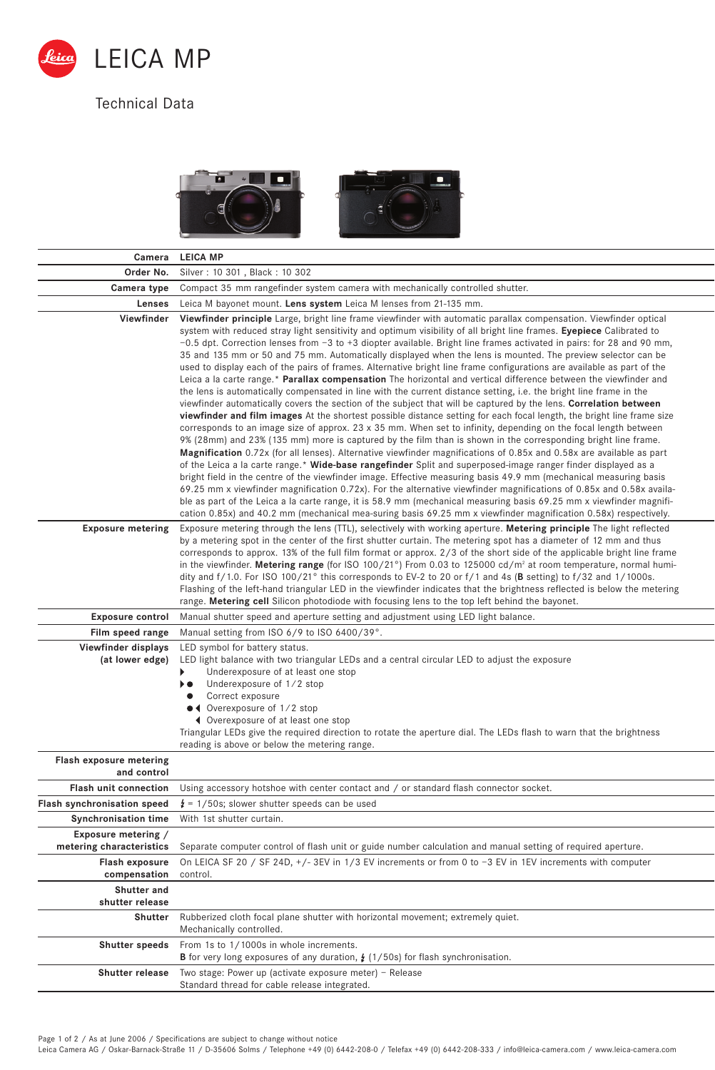

## Technical Data





| Camera                                          | <b>LEICA MP</b>                                                                                                                                                                                                                                                                                                                                                                                                                                                                                                                                                                                                                                                                                                                                                                                                                                                                                                                                                                                                                                                                                                                                                                                                                                                                                                                                                                                                                                                                                                                                                                                                                                                                                                                                                                                                                                                                                                                                                                                                                                                                      |
|-------------------------------------------------|--------------------------------------------------------------------------------------------------------------------------------------------------------------------------------------------------------------------------------------------------------------------------------------------------------------------------------------------------------------------------------------------------------------------------------------------------------------------------------------------------------------------------------------------------------------------------------------------------------------------------------------------------------------------------------------------------------------------------------------------------------------------------------------------------------------------------------------------------------------------------------------------------------------------------------------------------------------------------------------------------------------------------------------------------------------------------------------------------------------------------------------------------------------------------------------------------------------------------------------------------------------------------------------------------------------------------------------------------------------------------------------------------------------------------------------------------------------------------------------------------------------------------------------------------------------------------------------------------------------------------------------------------------------------------------------------------------------------------------------------------------------------------------------------------------------------------------------------------------------------------------------------------------------------------------------------------------------------------------------------------------------------------------------------------------------------------------------|
| Order No.                                       | Silver: 10 301, Black: 10 302                                                                                                                                                                                                                                                                                                                                                                                                                                                                                                                                                                                                                                                                                                                                                                                                                                                                                                                                                                                                                                                                                                                                                                                                                                                                                                                                                                                                                                                                                                                                                                                                                                                                                                                                                                                                                                                                                                                                                                                                                                                        |
| Camera type                                     | Compact 35 mm rangefinder system camera with mechanically controlled shutter.                                                                                                                                                                                                                                                                                                                                                                                                                                                                                                                                                                                                                                                                                                                                                                                                                                                                                                                                                                                                                                                                                                                                                                                                                                                                                                                                                                                                                                                                                                                                                                                                                                                                                                                                                                                                                                                                                                                                                                                                        |
| Lenses                                          | Leica M bayonet mount. Lens system Leica M lenses from 21-135 mm.                                                                                                                                                                                                                                                                                                                                                                                                                                                                                                                                                                                                                                                                                                                                                                                                                                                                                                                                                                                                                                                                                                                                                                                                                                                                                                                                                                                                                                                                                                                                                                                                                                                                                                                                                                                                                                                                                                                                                                                                                    |
| Viewfinder                                      | Viewfinder principle Large, bright line frame viewfinder with automatic parallax compensation. Viewfinder optical<br>system with reduced stray light sensitivity and optimum visibility of all bright line frames. Eyepiece Calibrated to<br>$-0.5$ dpt. Correction lenses from $-3$ to +3 diopter available. Bright line frames activated in pairs: for 28 and 90 mm,<br>35 and 135 mm or 50 and 75 mm. Automatically displayed when the lens is mounted. The preview selector can be<br>used to display each of the pairs of frames. Alternative bright line frame configurations are available as part of the<br>Leica a la carte range.* Parallax compensation The horizontal and vertical difference between the viewfinder and<br>the lens is automatically compensated in line with the current distance setting, i.e. the bright line frame in the<br>viewfinder automatically covers the section of the subject that will be captured by the lens. Correlation between<br>viewfinder and film images At the shortest possible distance setting for each focal length, the bright line frame size<br>corresponds to an image size of approx. 23 x 35 mm. When set to infinity, depending on the focal length between<br>9% (28mm) and 23% (135 mm) more is captured by the film than is shown in the corresponding bright line frame.<br><b>Magnification</b> 0.72x (for all lenses). Alternative viewfinder magnifications of 0.85x and 0.58x are available as part<br>of the Leica a la carte range.* Wide-base rangefinder Split and superposed-image ranger finder displayed as a<br>bright field in the centre of the viewfinder image. Effective measuring basis 49.9 mm (mechanical measuring basis<br>69.25 mm x viewfinder magnification 0.72x). For the alternative viewfinder magnifications of 0.85x and 0.58x availa-<br>ble as part of the Leica a la carte range, it is 58.9 mm (mechanical measuring basis 69.25 mm x viewfinder magnifi-<br>cation 0.85x) and 40.2 mm (mechanical mea-suring basis 69.25 mm x viewfinder magnification 0.58x) respectively. |
| <b>Exposure metering</b>                        | Exposure metering through the lens (TTL), selectively with working aperture. Metering principle The light reflected<br>by a metering spot in the center of the first shutter curtain. The metering spot has a diameter of 12 mm and thus<br>corresponds to approx. 13% of the full film format or approx. 2/3 of the short side of the applicable bright line frame<br>in the viewfinder. Metering range (for ISO 100/21°) From 0.03 to 125000 cd/m <sup>2</sup> at room temperature, normal humi-<br>dity and f/1.0. For ISO 100/21° this corresponds to EV-2 to 20 or f/1 and 4s (B setting) to f/32 and 1/1000s.<br>Flashing of the left-hand triangular LED in the viewfinder indicates that the brightness reflected is below the metering<br>range. Metering cell Silicon photodiode with focusing lens to the top left behind the bayonet.                                                                                                                                                                                                                                                                                                                                                                                                                                                                                                                                                                                                                                                                                                                                                                                                                                                                                                                                                                                                                                                                                                                                                                                                                                    |
| <b>Exposure control</b>                         | Manual shutter speed and aperture setting and adjustment using LED light balance.                                                                                                                                                                                                                                                                                                                                                                                                                                                                                                                                                                                                                                                                                                                                                                                                                                                                                                                                                                                                                                                                                                                                                                                                                                                                                                                                                                                                                                                                                                                                                                                                                                                                                                                                                                                                                                                                                                                                                                                                    |
| Film speed range                                | Manual setting from ISO 6/9 to ISO 6400/39°.                                                                                                                                                                                                                                                                                                                                                                                                                                                                                                                                                                                                                                                                                                                                                                                                                                                                                                                                                                                                                                                                                                                                                                                                                                                                                                                                                                                                                                                                                                                                                                                                                                                                                                                                                                                                                                                                                                                                                                                                                                         |
| Viewfinder displays<br>(at lower edge)          | LED symbol for battery status.<br>LED light balance with two triangular LEDs and a central circular LED to adjust the exposure<br>▶<br>Underexposure of at least one stop<br>Underexposure of 1/2 stop<br>▸●<br>Correct exposure<br>٠<br>• Overexposure of 1/2 stop<br>◀ Overexposure of at least one stop<br>Triangular LEDs give the required direction to rotate the aperture dial. The LEDs flash to warn that the brightness<br>reading is above or below the metering range.                                                                                                                                                                                                                                                                                                                                                                                                                                                                                                                                                                                                                                                                                                                                                                                                                                                                                                                                                                                                                                                                                                                                                                                                                                                                                                                                                                                                                                                                                                                                                                                                   |
| <b>Flash exposure metering</b><br>and control   |                                                                                                                                                                                                                                                                                                                                                                                                                                                                                                                                                                                                                                                                                                                                                                                                                                                                                                                                                                                                                                                                                                                                                                                                                                                                                                                                                                                                                                                                                                                                                                                                                                                                                                                                                                                                                                                                                                                                                                                                                                                                                      |
| <b>Flash unit connection</b>                    | Using accessory hotshoe with center contact and / or standard flash connector socket.                                                                                                                                                                                                                                                                                                                                                                                                                                                                                                                                                                                                                                                                                                                                                                                                                                                                                                                                                                                                                                                                                                                                                                                                                                                                                                                                                                                                                                                                                                                                                                                                                                                                                                                                                                                                                                                                                                                                                                                                |
| <b>Flash synchronisation speed</b>              | $\frac{1}{4}$ = 1/50s; slower shutter speeds can be used                                                                                                                                                                                                                                                                                                                                                                                                                                                                                                                                                                                                                                                                                                                                                                                                                                                                                                                                                                                                                                                                                                                                                                                                                                                                                                                                                                                                                                                                                                                                                                                                                                                                                                                                                                                                                                                                                                                                                                                                                             |
| <b>Synchronisation time</b>                     | With 1st shutter curtain.                                                                                                                                                                                                                                                                                                                                                                                                                                                                                                                                                                                                                                                                                                                                                                                                                                                                                                                                                                                                                                                                                                                                                                                                                                                                                                                                                                                                                                                                                                                                                                                                                                                                                                                                                                                                                                                                                                                                                                                                                                                            |
| Exposure metering /<br>metering characteristics | Separate computer control of flash unit or guide number calculation and manual setting of required aperture.                                                                                                                                                                                                                                                                                                                                                                                                                                                                                                                                                                                                                                                                                                                                                                                                                                                                                                                                                                                                                                                                                                                                                                                                                                                                                                                                                                                                                                                                                                                                                                                                                                                                                                                                                                                                                                                                                                                                                                         |
| Flash exposure<br>compensation                  | On LEICA SF 20 / SF 24D, $+/-$ 3EV in 1/3 EV increments or from 0 to -3 EV in 1EV increments with computer<br>control.                                                                                                                                                                                                                                                                                                                                                                                                                                                                                                                                                                                                                                                                                                                                                                                                                                                                                                                                                                                                                                                                                                                                                                                                                                                                                                                                                                                                                                                                                                                                                                                                                                                                                                                                                                                                                                                                                                                                                               |
| Shutter and                                     |                                                                                                                                                                                                                                                                                                                                                                                                                                                                                                                                                                                                                                                                                                                                                                                                                                                                                                                                                                                                                                                                                                                                                                                                                                                                                                                                                                                                                                                                                                                                                                                                                                                                                                                                                                                                                                                                                                                                                                                                                                                                                      |
| shutter release<br>Shutter                      | Rubberized cloth focal plane shutter with horizontal movement; extremely quiet.<br>Mechanically controlled.                                                                                                                                                                                                                                                                                                                                                                                                                                                                                                                                                                                                                                                                                                                                                                                                                                                                                                                                                                                                                                                                                                                                                                                                                                                                                                                                                                                                                                                                                                                                                                                                                                                                                                                                                                                                                                                                                                                                                                          |
| <b>Shutter speeds</b>                           | From 1s to 1/1000s in whole increments.<br><b>B</b> for very long exposures of any duration, $\frac{1}{2}$ (1/50s) for flash synchronisation.                                                                                                                                                                                                                                                                                                                                                                                                                                                                                                                                                                                                                                                                                                                                                                                                                                                                                                                                                                                                                                                                                                                                                                                                                                                                                                                                                                                                                                                                                                                                                                                                                                                                                                                                                                                                                                                                                                                                        |
| <b>Shutter release</b>                          | Two stage: Power up (activate exposure meter) - Release<br>Standard thread for cable release integrated.                                                                                                                                                                                                                                                                                                                                                                                                                                                                                                                                                                                                                                                                                                                                                                                                                                                                                                                                                                                                                                                                                                                                                                                                                                                                                                                                                                                                                                                                                                                                                                                                                                                                                                                                                                                                                                                                                                                                                                             |

Page 1 of 2 / As at June 2006 / Specifications are subject to change without notice<br>Leica Camera AG / Oskar-Barnack-Straße 11 / D-35606 Solms / Telephone +49 (0) 6442-208-0 / Telefax +49 (0) 6442-208-333 / info@leica-camer